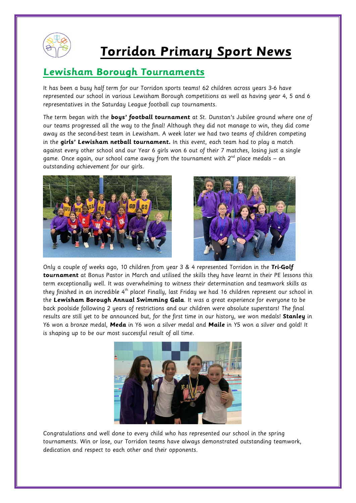

## **Torridon Primary Sport News**

## **Lewisham Borough Tournaments**

It has been a busy half term for our Torridon sports teams! 62 children across years 3-6 have represented our school in various Lewisham Borough competitions as well as having year 4, 5 and 6 representatives in the Saturday League football cup tournaments.

The term began with the **boys' football tournament** at St. Dunstan's Jubilee ground where one of our teams progressed all the way to the final! Although they did not manage to win, they did come away as the second-best team in Lewisham. A week later we had two teams of children competing in the **girls' Lewisham netball tournament.** In this event, each team had to play a match against every other school and our Year 6 girls won 6 out of their 7 matches, losing just a single game. Once again, our school came away from the tournament with  $2^{nd}$  place medals – an outstanding achievement for our girls.





Only a couple of weeks ago, 10 children from year 3 & 4 represented Torridon in the **Tri-Golf tournament** at Bonus Pastor in March and utilised the skills they have learnt in their PE lessons this term exceptionally well. It was overwhelming to witness their determination and teamwork skills as they finished in an incredible 4<sup>th</sup> place! Finally, last Friday we had 16 children represent our school in the **Lewisham Borough Annual Swimming Gala**. It was a great experience for everyone to be back poolside following 2 years of restrictions and our children were absolute superstars! The final results are still yet to be announced but, for the first time in our history, we won medals! **Stanley** in Y6 won a bronze medal, **Meda** in Y6 won a silver medal and **Maile** in Y5 won a silver and gold! It is shaping up to be our most successful result of all time.



Congratulations and well done to every child who has represented our school in the spring tournaments. Win or lose, our Torridon teams have always demonstrated outstanding teamwork, dedication and respect to each other and their opponents.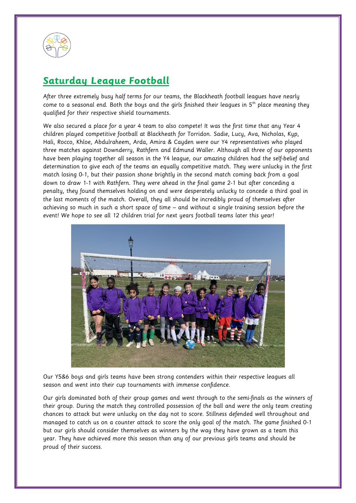

## **Saturday League Football**

After three extremely busy half terms for our teams, the Blackheath football leagues have nearly come to a seasonal end. Both the boys and the girls finished their leagues in  $5<sup>th</sup>$  place meaning they qualified for their respective shield tournaments.

We also secured a place for a year 4 team to also compete! It was the first time that any Year 4 children played competitive football at Blackheath for Torridon. Sadie, Lucy, Ava, Nicholas, Kyp, Hali, Rocco, Khloe, Abdulraheem, Arda, Amira & Cayden were our Y4 representatives who played three matches against Downderry, Rathfern and Edmund Waller. Although all three of our opponents have been playing together all season in the Y4 league, our amazing children had the self-belief and determination to give each of the teams an equally competitive match. They were unlucky in the first match losing 0-1, but their passion shone brightly in the second match coming back from a goal down to draw 1-1 with Rathfern. They were ahead in the final game 2-1 but after conceding a penalty, they found themselves holding on and were desperately unlucky to concede a third goal in the last moments of the match. Overall, they all should be incredibly proud of themselves after achieving so much in such a short space of time – and without a single training session before the event! We hope to see all 12 children trial for next years football teams later this year!



Our Y5&6 boys and girls teams have been strong contenders within their respective leagues all season and went into their cup tournaments with immense confidence.

Our girls dominated both of their group games and went through to the semi-finals as the winners of their group. During the match they controlled possession of the ball and were the only team creating chances to attack but were unlucky on the day not to score. Stillness defended well throughout and managed to catch us on a counter attack to score the only goal of the match. The game finished 0-1 but our girls should consider themselves as winners by the way they have grown as a team this year. They have achieved more this season than any of our previous girls teams and should be proud of their success.